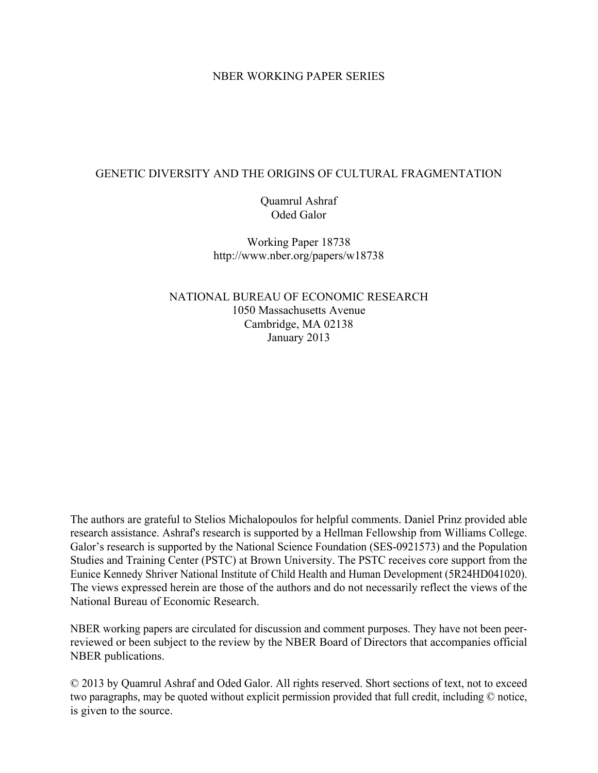### NBER WORKING PAPER SERIES

### GENETIC DIVERSITY AND THE ORIGINS OF CULTURAL FRAGMENTATION

Quamrul Ashraf Oded Galor

Working Paper 18738 http://www.nber.org/papers/w18738

NATIONAL BUREAU OF ECONOMIC RESEARCH 1050 Massachusetts Avenue Cambridge, MA 02138 January 2013

The authors are grateful to Stelios Michalopoulos for helpful comments. Daniel Prinz provided able research assistance. Ashraf's research is supported by a Hellman Fellowship from Williams College. Galor's research is supported by the National Science Foundation (SES-0921573) and the Population Studies and Training Center (PSTC) at Brown University. The PSTC receives core support from the Eunice Kennedy Shriver National Institute of Child Health and Human Development (5R24HD041020). The views expressed herein are those of the authors and do not necessarily reflect the views of the National Bureau of Economic Research.

NBER working papers are circulated for discussion and comment purposes. They have not been peerreviewed or been subject to the review by the NBER Board of Directors that accompanies official NBER publications.

© 2013 by Quamrul Ashraf and Oded Galor. All rights reserved. Short sections of text, not to exceed two paragraphs, may be quoted without explicit permission provided that full credit, including © notice, is given to the source.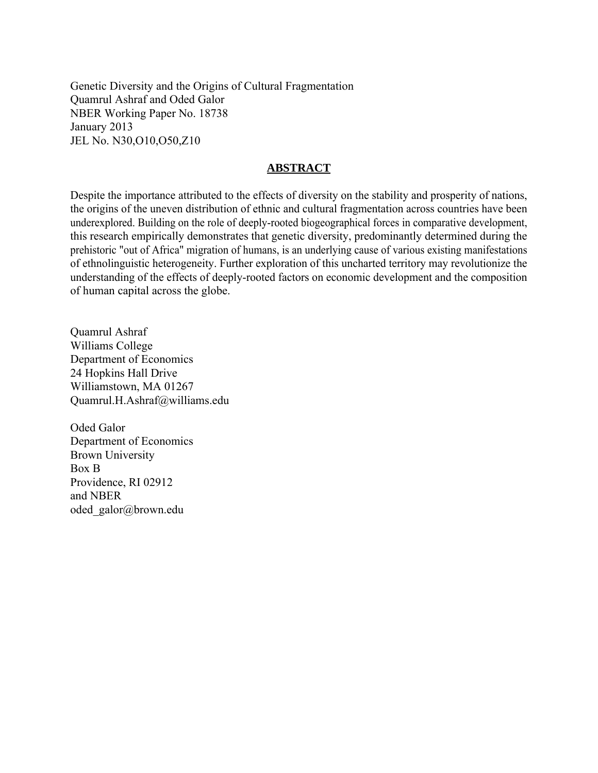Genetic Diversity and the Origins of Cultural Fragmentation Quamrul Ashraf and Oded Galor NBER Working Paper No. 18738 January 2013 JEL No. N30,O10,O50,Z10

### **ABSTRACT**

Despite the importance attributed to the effects of diversity on the stability and prosperity of nations, the origins of the uneven distribution of ethnic and cultural fragmentation across countries have been underexplored. Building on the role of deeply-rooted biogeographical forces in comparative development, this research empirically demonstrates that genetic diversity, predominantly determined during the prehistoric "out of Africa" migration of humans, is an underlying cause of various existing manifestations of ethnolinguistic heterogeneity. Further exploration of this uncharted territory may revolutionize the understanding of the effects of deeply-rooted factors on economic development and the composition of human capital across the globe.

Quamrul Ashraf Williams College Department of Economics 24 Hopkins Hall Drive Williamstown, MA 01267 Quamrul.H.Ashraf@williams.edu

Oded Galor Department of Economics Brown University Box B Providence, RI 02912 and NBER oded\_galor@brown.edu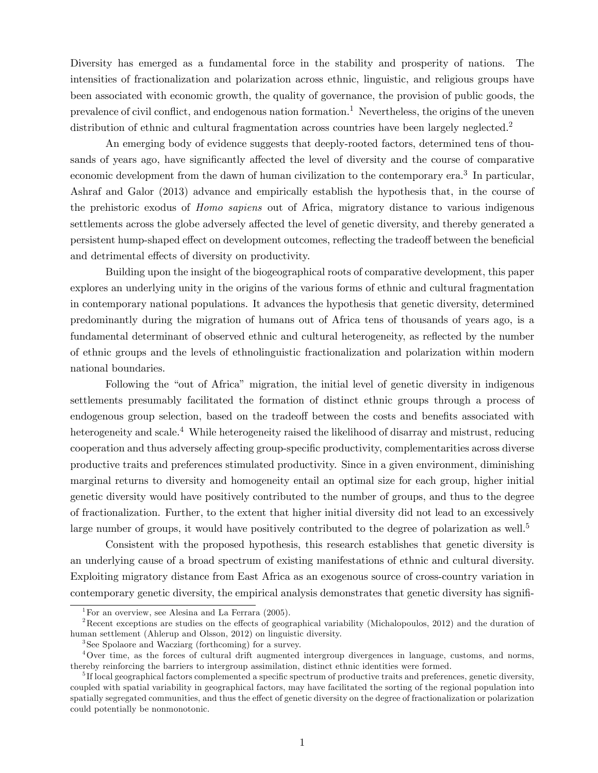Diversity has emerged as a fundamental force in the stability and prosperity of nations. The intensities of fractionalization and polarization across ethnic, linguistic, and religious groups have been associated with economic growth, the quality of governance, the provision of public goods, the prevalence of civil conflict, and endogenous nation formation.<sup>[1](#page-2-0)</sup> Nevertheless, the origins of the uneven distribution of ethnic and cultural fragmentation across countries have been largely neglected.<sup>[2](#page-2-1)</sup>

An emerging body of evidence suggests that deeply-rooted factors, determined tens of thousands of years ago, have significantly affected the level of diversity and the course of comparative economic development from the dawn of human civilization to the contemporary era.<sup>[3](#page-2-2)</sup> In particular, Ashraf and Galor (2013) advance and empirically establish the hypothesis that, in the course of the prehistoric exodus of Homo sapiens out of Africa, migratory distance to various indigenous settlements across the globe adversely affected the level of genetic diversity, and thereby generated a persistent hump-shaped effect on development outcomes, reflecting the tradeoff between the beneficial and detrimental effects of diversity on productivity.

Building upon the insight of the biogeographical roots of comparative development, this paper explores an underlying unity in the origins of the various forms of ethnic and cultural fragmentation in contemporary national populations. It advances the hypothesis that genetic diversity, determined predominantly during the migration of humans out of Africa tens of thousands of years ago, is a fundamental determinant of observed ethnic and cultural heterogeneity, as reflected by the number of ethnic groups and the levels of ethnolinguistic fractionalization and polarization within modern national boundaries.

Following the "out of Africa" migration, the initial level of genetic diversity in indigenous settlements presumably facilitated the formation of distinct ethnic groups through a process of endogenous group selection, based on the tradeoff between the costs and benefits associated with heterogeneity and scale.<sup>[4](#page-2-3)</sup> While heterogeneity raised the likelihood of disarray and mistrust, reducing cooperation and thus adversely affecting group-specific productivity, complementarities across diverse productive traits and preferences stimulated productivity. Since in a given environment, diminishing marginal returns to diversity and homogeneity entail an optimal size for each group, higher initial genetic diversity would have positively contributed to the number of groups, and thus to the degree of fractionalization. Further, to the extent that higher initial diversity did not lead to an excessively large number of groups, it would have positively contributed to the degree of polarization as well.<sup>[5](#page-2-4)</sup>

Consistent with the proposed hypothesis, this research establishes that genetic diversity is an underlying cause of a broad spectrum of existing manifestations of ethnic and cultural diversity. Exploiting migratory distance from East Africa as an exogenous source of cross-country variation in contemporary genetic diversity, the empirical analysis demonstrates that genetic diversity has signifi-

<span id="page-2-1"></span><span id="page-2-0"></span><sup>&</sup>lt;sup>1</sup>For an overview, see Alesina and La Ferrara  $(2005)$ .

 $2R$ ecent exceptions are studies on the effects of geographical variability (Michalopoulos, 2012) and the duration of human settlement (Ahlerup and Olsson, 2012) on linguistic diversity.

<span id="page-2-3"></span><span id="page-2-2"></span><sup>3</sup> See Spolaore and Wacziarg (forthcoming) for a survey.

<sup>4</sup>Over time, as the forces of cultural drift augmented intergroup divergences in language, customs, and norms, thereby reinforcing the barriers to intergroup assimilation, distinct ethnic identities were formed.

<span id="page-2-4"></span><sup>&</sup>lt;sup>5</sup>If local geographical factors complemented a specific spectrum of productive traits and preferences, genetic diversity, coupled with spatial variability in geographical factors, may have facilitated the sorting of the regional population into spatially segregated communities, and thus the effect of genetic diversity on the degree of fractionalization or polarization could potentially be nonmonotonic.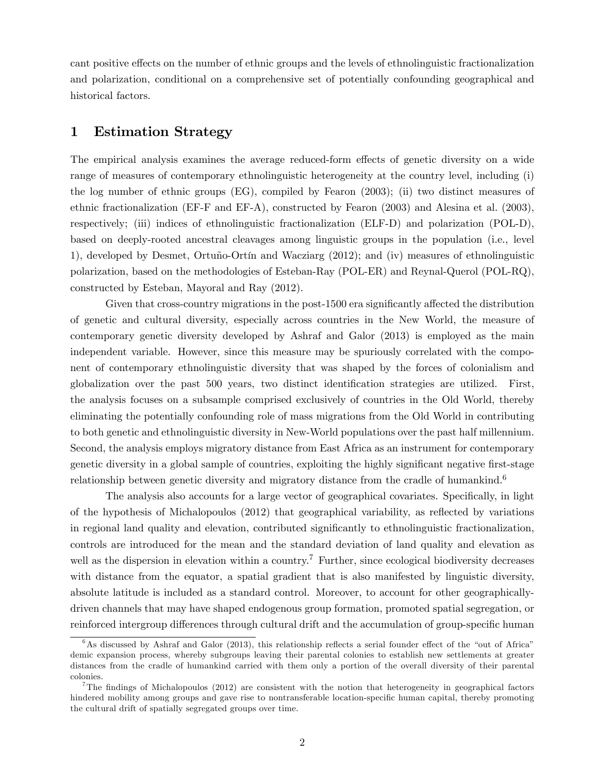cant positive effects on the number of ethnic groups and the levels of ethnolinguistic fractionalization and polarization, conditional on a comprehensive set of potentially confounding geographical and historical factors.

### 1 Estimation Strategy

The empirical analysis examines the average reduced-form effects of genetic diversity on a wide range of measures of contemporary ethnolinguistic heterogeneity at the country level, including (i) the log number of ethnic groups (EG), compiled by Fearon (2003); (ii) two distinct measures of ethnic fractionalization (EF-F and EF-A), constructed by Fearon (2003) and Alesina et al. (2003), respectively; (iii) indices of ethnolinguistic fractionalization (ELF-D) and polarization (POL-D), based on deeply-rooted ancestral cleavages among linguistic groups in the population (i.e., level 1), developed by Desmet, Ortuño-Ortín and Wacziarg (2012); and (iv) measures of ethnolinguistic polarization, based on the methodologies of Esteban-Ray (POL-ER) and Reynal-Querol (POL-RQ), constructed by Esteban, Mayoral and Ray (2012).

Given that cross-country migrations in the post-1500 era significantly affected the distribution of genetic and cultural diversity, especially across countries in the New World, the measure of contemporary genetic diversity developed by Ashraf and Galor (2013) is employed as the main independent variable. However, since this measure may be spuriously correlated with the component of contemporary ethnolinguistic diversity that was shaped by the forces of colonialism and globalization over the past 500 years, two distinct identification strategies are utilized. First, the analysis focuses on a subsample comprised exclusively of countries in the Old World, thereby eliminating the potentially confounding role of mass migrations from the Old World in contributing to both genetic and ethnolinguistic diversity in New-World populations over the past half millennium. Second, the analysis employs migratory distance from East Africa as an instrument for contemporary genetic diversity in a global sample of countries, exploiting the highly significant negative first-stage relationship between genetic diversity and migratory distance from the cradle of humankind.<sup>[6](#page-3-0)</sup>

The analysis also accounts for a large vector of geographical covariates. Specifically, in light of the hypothesis of Michalopoulos  $(2012)$  that geographical variability, as reflected by variations in regional land quality and elevation, contributed significantly to ethnolinguistic fractionalization, controls are introduced for the mean and the standard deviation of land quality and elevation as well as the dispersion in elevation within a country.<sup>[7](#page-3-1)</sup> Further, since ecological biodiversity decreases with distance from the equator, a spatial gradient that is also manifested by linguistic diversity, absolute latitude is included as a standard control. Moreover, to account for other geographicallydriven channels that may have shaped endogenous group formation, promoted spatial segregation, or reinforced intergroup differences through cultural drift and the accumulation of group-specific human

<span id="page-3-0"></span> $6$ As discussed by Ashraf and Galor (2013), this relationship reflects a serial founder effect of the "out of Africa" demic expansion process, whereby subgroups leaving their parental colonies to establish new settlements at greater distances from the cradle of humankind carried with them only a portion of the overall diversity of their parental colonies.

<span id="page-3-1"></span><sup>&</sup>lt;sup>7</sup>The findings of Michalopoulos (2012) are consistent with the notion that heterogeneity in geographical factors hindered mobility among groups and gave rise to nontransferable location-specific human capital, thereby promoting the cultural drift of spatially segregated groups over time.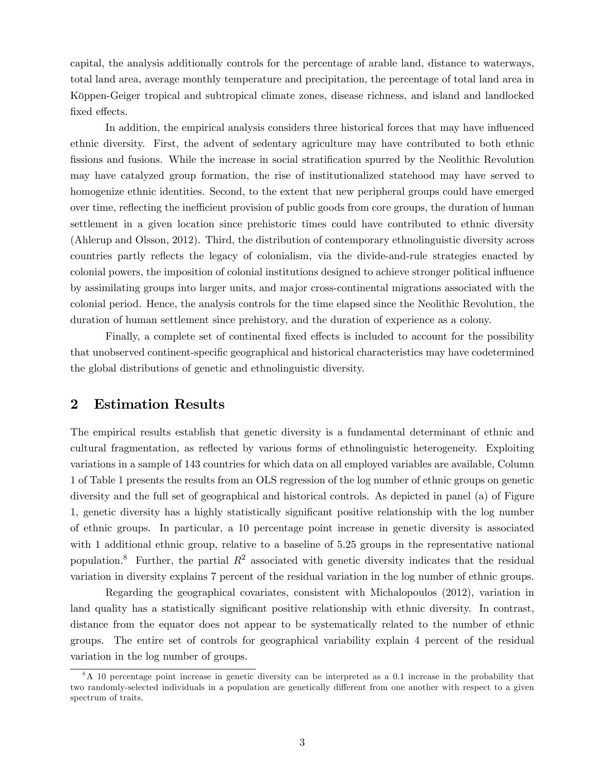capital, the analysis additionally controls for the percentage of arable land, distance to waterways, total land area, average monthly temperature and precipitation, the percentage of total land area in Köppen-Geiger tropical and subtropical climate zones, disease richness, and island and landlocked fixed effects.

In addition, the empirical analysis considers three historical forces that may have influenced ethnic diversity. First, the advent of sedentary agriculture may have contributed to both ethnic fissions and fusions. While the increase in social stratification spurred by the Neolithic Revolution may have catalyzed group formation, the rise of institutionalized statehood may have served to homogenize ethnic identities. Second, to the extent that new peripheral groups could have emerged over time, reflecting the inefficient provision of public goods from core groups, the duration of human settlement in a given location since prehistoric times could have contributed to ethnic diversity (Ahlerup and Olsson, 2012). Third, the distribution of contemporary ethnolinguistic diversity across countries partly reflects the legacy of colonialism, via the divide-and-rule strategies enacted by colonial powers, the imposition of colonial institutions designed to achieve stronger political ináuence by assimilating groups into larger units, and major cross-continental migrations associated with the colonial period. Hence, the analysis controls for the time elapsed since the Neolithic Revolution, the duration of human settlement since prehistory, and the duration of experience as a colony.

Finally, a complete set of continental fixed effects is included to account for the possibility that unobserved continent-specific geographical and historical characteristics may have codetermined the global distributions of genetic and ethnolinguistic diversity.

### 2 Estimation Results

The empirical results establish that genetic diversity is a fundamental determinant of ethnic and cultural fragmentation, as reflected by various forms of ethnolinguistic heterogeneity. Exploiting variations in a sample of 143 countries for which data on all employed variables are available, Column 1 of Table [1](#page-5-0) presents the results from an OLS regression of the log number of ethnic groups on genetic diversity and the full set of geographical and historical controls. As depicted in panel (a) of Figure [1,](#page-7-0) genetic diversity has a highly statistically significant positive relationship with the log number of ethnic groups. In particular, a 10 percentage point increase in genetic diversity is associated with 1 additional ethnic group, relative to a baseline of 5.25 groups in the representative national population.<sup>[8](#page-4-0)</sup> Further, the partial  $R^2$  associated with genetic diversity indicates that the residual variation in diversity explains 7 percent of the residual variation in the log number of ethnic groups.

Regarding the geographical covariates, consistent with Michalopoulos (2012), variation in land quality has a statistically significant positive relationship with ethnic diversity. In contrast, distance from the equator does not appear to be systematically related to the number of ethnic groups. The entire set of controls for geographical variability explain 4 percent of the residual variation in the log number of groups.

<span id="page-4-0"></span><sup>8</sup>A 10 percentage point increase in genetic diversity can be interpreted as a 0.1 increase in the probability that two randomly-selected individuals in a population are genetically different from one another with respect to a given spectrum of traits.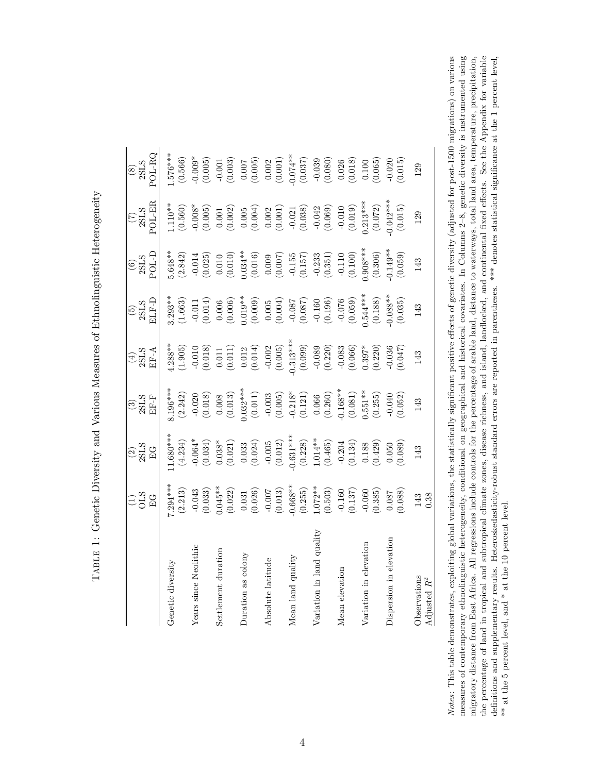| $\overline{1}$<br>$\frac{1}{2}$<br> <br> <br>    |
|--------------------------------------------------|
| )<br>i<br>J<br><b>-</b><br>-<br> <br><<br>ו<br>י |
| l                                                |
| )<br> <br> <br> <br>ו<br>ו                       |
| うりょう<br>くしん しゅうりょう<br>֡֡<br>į<br>j               |
| $\overline{\phantom{a}}$<br>i<br>İ<br>J          |
| l<br>ļ<br>$\frac{1}{2}$<br>I                     |

<span id="page-5-0"></span>

|                                   | $\Xi_{\rm 5}^{(1)}$<br>$E$ G                                         | $\frac{2}{35}$<br>EG                                                                                                                                                      | $\boxed{\frac{3}{2}}$<br>SHE<br>EF-F                                                                                                                                                                                                                                                                                   | 2SLS<br>EFA                                                                                                                                                                                                                                                                                                                                                                                                             | <b>ELF-I</b><br>$\frac{(5)}{2\text{SLS}}$                                                                                                                                                                                                                                                                              | POL-D<br>$\frac{(6)}{2}$                                                                                                                                                                                                                                                                                                      | POL-EI<br>$\frac{(7)}{2SLS}$                                                                                                                                                                                                                                                                        | $_{\rm O1-RQ}$<br>$\begin{array}{c} (8) \\ \text{SLS} \end{array}$                                                                                                                                                                                                                                                     |
|-----------------------------------|----------------------------------------------------------------------|---------------------------------------------------------------------------------------------------------------------------------------------------------------------------|------------------------------------------------------------------------------------------------------------------------------------------------------------------------------------------------------------------------------------------------------------------------------------------------------------------------|-------------------------------------------------------------------------------------------------------------------------------------------------------------------------------------------------------------------------------------------------------------------------------------------------------------------------------------------------------------------------------------------------------------------------|------------------------------------------------------------------------------------------------------------------------------------------------------------------------------------------------------------------------------------------------------------------------------------------------------------------------|-------------------------------------------------------------------------------------------------------------------------------------------------------------------------------------------------------------------------------------------------------------------------------------------------------------------------------|-----------------------------------------------------------------------------------------------------------------------------------------------------------------------------------------------------------------------------------------------------------------------------------------------------|------------------------------------------------------------------------------------------------------------------------------------------------------------------------------------------------------------------------------------------------------------------------------------------------------------------------|
| Genetic diversity                 | $.294***$<br>(2.213)                                                 | $1.680**$<br>(4.234)                                                                                                                                                      | $3.196***$<br>(2.242)                                                                                                                                                                                                                                                                                                  | $4.288**$<br>(1.905)                                                                                                                                                                                                                                                                                                                                                                                                    | $3.293**$<br>(1.663)                                                                                                                                                                                                                                                                                                   | (2.842)                                                                                                                                                                                                                                                                                                                       | (0.560)                                                                                                                                                                                                                                                                                             | $(0.576***$                                                                                                                                                                                                                                                                                                            |
| Years since Neolithic             | $-0.043$<br>$(0.033)$                                                |                                                                                                                                                                           |                                                                                                                                                                                                                                                                                                                        |                                                                                                                                                                                                                                                                                                                                                                                                                         | $-0.011$<br>$(0.014)$                                                                                                                                                                                                                                                                                                  |                                                                                                                                                                                                                                                                                                                               | (0.005)                                                                                                                                                                                                                                                                                             |                                                                                                                                                                                                                                                                                                                        |
| Settlement duration               | $2.045**$<br>(0.022)                                                 | $\begin{array}{c} -0.064^{*} \\ (0.034) \\ (0.038^{*} \\ (0.021) \\ (0.033 \\ (0.033 \\ (0.024) \\ (0.012) \\ (0.012) \\ (0.031^{***}) \\ (0.288) \\ (0.228) \end{array}$ | $\begin{array}{c} -0.020 \\ (0.018) \\ (0.008) \\ (0.011) \\ (0.011) \\ (0.011) \\ (0.005) \\ (0.006) \\ (0.121) \\ (0.121) \\ (0.066) \\ (0.005) \\ (0.001) \\ (0.011) \\ (0.011) \\ (0.011) \\ (0.011) \\ (0.011) \\ (0.012) \\ (0.011) \\ (0.012) \\ (0.013) \\ (0.013) \\ (0.014) \\ (0.012) \\ (0.013) \\ (0.014$ | $\begin{array}{c} \textbf{-0.010} \\ \textbf{(0.018)} \\ \textbf{(0.011)} \\ \textbf{(0.011)} \\ \textbf{(0.012)} \\ \textbf{(0.014)} \\ \textbf{(0.019)} \\ \textbf{(0.005)} \\ \textbf{(0.009)} \\ \textbf{(0.099)} \\ \textbf{(0.099)} \\ \textbf{(0.290)} \\ \textbf{(0.210)} \\ \textbf{(0.220)} \\ \textbf{(0.210)} \\ \textbf{(0.220)} \\ \textbf{(0.230)} \\ \textbf{(0.231)} \\ \textbf{(0.231)} \\ \textbf{($ |                                                                                                                                                                                                                                                                                                                        | $\begin{array}{c} -0.014 \\ -0.025 \\ 0.010 \\ 0.010 \\ 0.010 \\ 0.004 \\ +0.016 \\ 0.007 \\ -0.007 \\ -0.157 \\ -0.157 \\ -0.331 \\ -0.110 \\ -0.110 \\ -0.110 \\ -0.110 \\ -0.110 \\ -0.110 \\ -0.110 \\ -0.110 \\ -0.110 \\ -0.110 \\ -0.110 \\ -0.110 \\ -0.110 \\ -0.110 \\ -0.110 \\ -0.110 \\ -0.110 \\ -0.110 \\ -0.$ | (0.001)                                                                                                                                                                                                                                                                                             |                                                                                                                                                                                                                                                                                                                        |
| Duration as colony                |                                                                      |                                                                                                                                                                           |                                                                                                                                                                                                                                                                                                                        |                                                                                                                                                                                                                                                                                                                                                                                                                         |                                                                                                                                                                                                                                                                                                                        |                                                                                                                                                                                                                                                                                                                               |                                                                                                                                                                                                                                                                                                     |                                                                                                                                                                                                                                                                                                                        |
| Absolute latitude                 | $\begin{array}{c} 0.031 \\ (0.026) \\ -0.007 \\ (0.013) \end{array}$ |                                                                                                                                                                           |                                                                                                                                                                                                                                                                                                                        |                                                                                                                                                                                                                                                                                                                                                                                                                         |                                                                                                                                                                                                                                                                                                                        |                                                                                                                                                                                                                                                                                                                               |                                                                                                                                                                                                                                                                                                     |                                                                                                                                                                                                                                                                                                                        |
| Mean land quality                 | $-0.668**$<br>$(0.255)$                                              |                                                                                                                                                                           |                                                                                                                                                                                                                                                                                                                        |                                                                                                                                                                                                                                                                                                                                                                                                                         | $\begin{array}{c} (0.006 \\ (0.006) \\ (0.009) \\ (0.009) \\ (0.005) \\ (0.004) \\ (0.007) \\ (0.07) \\ (0.087) \\ (0.010) \\ (0.010) \\ (0.010) \\ (0.010) \\ (0.010) \\ (0.010) \\ (0.010) \\ (0.010) \\ (0.010) \\ (0.010) \\ (0.010) \\ (0.010) \\ (0.010) \\ (0.010) \\ (0.010) \\ (0.010) \\ (0.010) \\ (0.010)$ |                                                                                                                                                                                                                                                                                                                               | $\begin{array}{c} 0.005 \\ 0.004) \\ 0.002 \\ 0.001) \\ 0.011 \\ 0.011 \\ 0.038 \\ 0.042 \\ 0.042 \\ 0.009 \\ 0.010 \\ 0.009 \\ 0.010 \\ 0.009 \\ 0.010 \\ 0.010 \\ 0.010 \\ 0.010 \\ 0.010 \\ 0.010 \\ 0.010 \\ 0.010 \\ 0.010 \\ 0.010 \\ 0.010 \\ 0.010 \\ 0.010 \\ 0.010 \\ 0.010 \\ 0.010 \\ $ |                                                                                                                                                                                                                                                                                                                        |
| Variation in land quality         | $1.072**$<br>(0.503)                                                 |                                                                                                                                                                           |                                                                                                                                                                                                                                                                                                                        |                                                                                                                                                                                                                                                                                                                                                                                                                         |                                                                                                                                                                                                                                                                                                                        |                                                                                                                                                                                                                                                                                                                               |                                                                                                                                                                                                                                                                                                     |                                                                                                                                                                                                                                                                                                                        |
| Mean elevation                    |                                                                      |                                                                                                                                                                           |                                                                                                                                                                                                                                                                                                                        |                                                                                                                                                                                                                                                                                                                                                                                                                         |                                                                                                                                                                                                                                                                                                                        |                                                                                                                                                                                                                                                                                                                               |                                                                                                                                                                                                                                                                                                     |                                                                                                                                                                                                                                                                                                                        |
| Variation in elevation            | $\begin{array}{c} -0.160 \\ (0.137) \\ -0.060 \\ 0.385) \end{array}$ | $1.014**$<br>$(0.465)$<br>$-0.204$<br>$(0.134)$<br>$0.188$<br>$0.188$                                                                                                     |                                                                                                                                                                                                                                                                                                                        | $\begin{array}{c} -0.083 \\ (0.066) \\ 0.397^* \\ (0.220) \end{array}$                                                                                                                                                                                                                                                                                                                                                  | (0.188)                                                                                                                                                                                                                                                                                                                | .908***<br>(0.306)                                                                                                                                                                                                                                                                                                            | $0.213***$<br>(0.072)                                                                                                                                                                                                                                                                               | $\begin{array}{l} -0.009* \\ (0.005) \\ (0.001) \\ (0.003) \\ (0.005) \\ (0.005) \\ (0.001) \\ (0.002) \\ (0.001) \\ (0.037) \\ (0.030) \\ (0.008) \\ (0.008) \\ (0.008) \\ (0.008) \\ (0.005) \\ (0.005) \\ (0.005) \\ (0.005) \\ (0.005) \\ (0.005) \\ (0.005) \\ (0.005) \\ (0.005) \\ (0.005) \\ (0.005) \\ (0.00$ |
| Dispersion in elevation           | (880.0)                                                              | (0.050)                                                                                                                                                                   | $-0.040$<br>$(0.052)$                                                                                                                                                                                                                                                                                                  | $-0.036$<br>0.047                                                                                                                                                                                                                                                                                                                                                                                                       | $0.088**$<br>(0.035)                                                                                                                                                                                                                                                                                                   | $(0.149**$                                                                                                                                                                                                                                                                                                                    | $0.042***$<br>(0.015)                                                                                                                                                                                                                                                                               | $-0.020$<br>$(0.015)$                                                                                                                                                                                                                                                                                                  |
| Observations<br>$R^2$<br>Adjusted | 0.38<br>143                                                          | 143                                                                                                                                                                       | 143                                                                                                                                                                                                                                                                                                                    | 143                                                                                                                                                                                                                                                                                                                                                                                                                     | 143                                                                                                                                                                                                                                                                                                                    | 143                                                                                                                                                                                                                                                                                                                           | 129                                                                                                                                                                                                                                                                                                 | 129                                                                                                                                                                                                                                                                                                                    |

Notes: This table demonstrates, exploiting global variations, the statistically significant positive effects of genetic diversity (adjusted for post-1500 migrations) on various measures of contemporary ethnolinguistic heterogeneity, conditional on geographical and historical covariates. In Columns 2-8, genetic diversity is instrumented using the percentage of land in tropical and subtropical climate zones, disease richness, and island, landlocked, and continental fixed effects. See the Appendix for variable definitions and supplementary results. Heteroskedasti migratory distance from East Africa. All regressions include controls for the percentage of arable land, distance to waterways, total land area, temperature, precipitation, Notes: This table demonstrates, exploiting global variations, the statistically significant positive effects of genetic diversity (adjusted for post-1500 migrations) on various measures of contemporary ethnolinguistic heterogeneity, conditional on geographical and historical covariates. In Columns 2–8, genetic diversity is instrumented using migratory distance from East Africa. All regressions include controls for the percentage of arable land, distance to waterways, total land area, temperature, precipitation, the percentage of land in tropical and subtropical climate zones, disease richness, and island, landlocked, and continental fixed effects. See the Appendix for variable definitions and supplementary results. Heteroskedasticity-robust standard errors are reported in parentheses. \*\*\* denotes statistical significance at the 1 percent level,  $\ast\ast$  at the 5 percent level, and  $\ast$  at the 10 percent level. \*\* at the 5 percent level, and \* at the 10 percent level.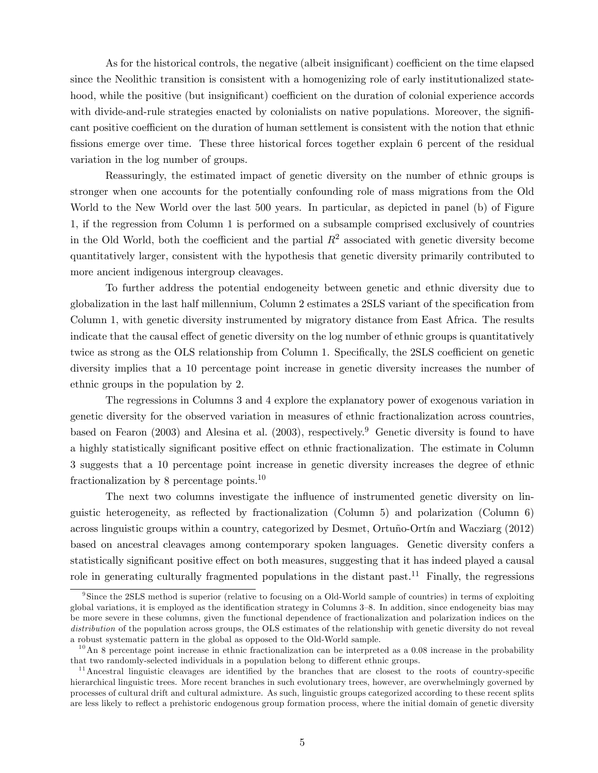As for the historical controls, the negative (albeit insignificant) coefficient on the time elapsed since the Neolithic transition is consistent with a homogenizing role of early institutionalized statehood, while the positive (but insignificant) coefficient on the duration of colonial experience accords with divide-and-rule strategies enacted by colonialists on native populations. Moreover, the significant positive coefficient on the duration of human settlement is consistent with the notion that ethnic fissions emerge over time. These three historical forces together explain 6 percent of the residual variation in the log number of groups.

Reassuringly, the estimated impact of genetic diversity on the number of ethnic groups is stronger when one accounts for the potentially confounding role of mass migrations from the Old World to the New World over the last 500 years. In particular, as depicted in panel (b) of Figure [1,](#page-7-0) if the regression from Column 1 is performed on a subsample comprised exclusively of countries in the Old World, both the coefficient and the partial  $R^2$  associated with genetic diversity become quantitatively larger, consistent with the hypothesis that genetic diversity primarily contributed to more ancient indigenous intergroup cleavages.

To further address the potential endogeneity between genetic and ethnic diversity due to globalization in the last half millennium, Column 2 estimates a 2SLS variant of the specification from Column 1, with genetic diversity instrumented by migratory distance from East Africa. The results indicate that the causal effect of genetic diversity on the log number of ethnic groups is quantitatively twice as strong as the OLS relationship from Column 1. Specifically, the 2SLS coefficient on genetic diversity implies that a 10 percentage point increase in genetic diversity increases the number of ethnic groups in the population by 2.

The regressions in Columns 3 and 4 explore the explanatory power of exogenous variation in genetic diversity for the observed variation in measures of ethnic fractionalization across countries, based on Fearon (2003) and Alesina et al. (2003), respectively.<sup>[9](#page-6-0)</sup> Genetic diversity is found to have a highly statistically significant positive effect on ethnic fractionalization. The estimate in Column 3 suggests that a 10 percentage point increase in genetic diversity increases the degree of ethnic fractionalization by 8 percentage points.[10](#page-6-1)

The next two columns investigate the influence of instrumented genetic diversity on linguistic heterogeneity, as reflected by fractionalization (Column 5) and polarization (Column 6) across linguistic groups within a country, categorized by Desmet, Ortuño-Ortín and Wacziarg (2012) based on ancestral cleavages among contemporary spoken languages. Genetic diversity confers a statistically significant positive effect on both measures, suggesting that it has indeed played a causal role in generating culturally fragmented populations in the distant past.<sup>[11](#page-6-2)</sup> Finally, the regressions

<span id="page-6-0"></span><sup>&</sup>lt;sup>9</sup>Since the 2SLS method is superior (relative to focusing on a Old-World sample of countries) in terms of exploiting global variations, it is employed as the identification strategy in Columns 3-8. In addition, since endogeneity bias may be more severe in these columns, given the functional dependence of fractionalization and polarization indices on the distribution of the population across groups, the OLS estimates of the relationship with genetic diversity do not reveal a robust systematic pattern in the global as opposed to the Old-World sample.

<span id="page-6-1"></span> $10$ An 8 percentage point increase in ethnic fractionalization can be interpreted as a 0.08 increase in the probability that two randomly-selected individuals in a population belong to different ethnic groups.

<span id="page-6-2"></span> $11$ Ancestral linguistic cleavages are identified by the branches that are closest to the roots of country-specific hierarchical linguistic trees. More recent branches in such evolutionary trees, however, are overwhelmingly governed by processes of cultural drift and cultural admixture. As such, linguistic groups categorized according to these recent splits are less likely to reflect a prehistoric endogenous group formation process, where the initial domain of genetic diversity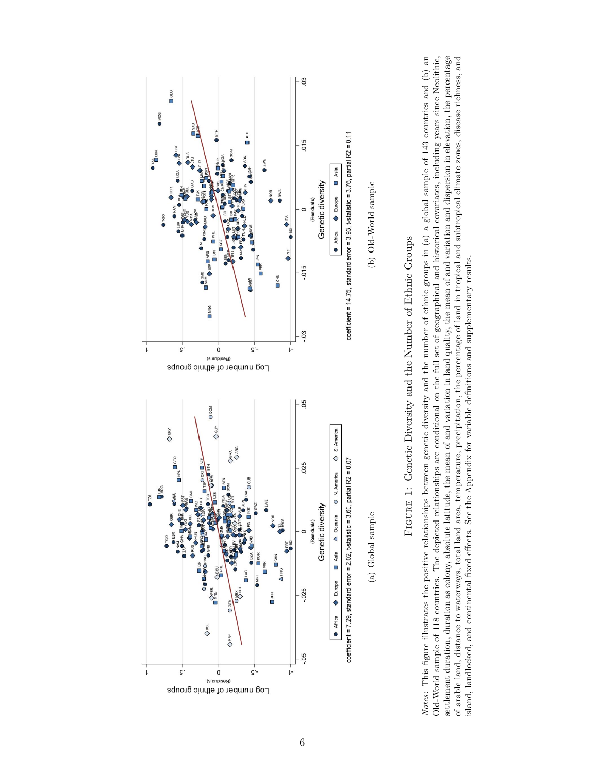<span id="page-7-0"></span>



settlement duration, duration as colony, absolute latitude, the mean of and variation in land quality, the mean of and variation and dispersion in elevation, the percentage Notes: This figure illustrates the positive relationships between genetic diversity and the number of ethnic groups in  $(a)$  a global sample of 143 countries and  $(b)$  an Old-World sample of 118 countries. The depicted relationships are conditional on the full set of geographical and historical covariates, including years since Neolithic, of arable land, distance to waterways, total land area, temperature, precipitation, the percentage of land in tropical and subtropical climate zones, disease richness, and Notes: This Ögure illustrates the positive relationships between genetic diversity and the number of ethnic groups in (a) a global sample of 143 countries and (b) an Old-World sample of 118 countries. The depicted relationships are conditional on the full set of geographical and historical covariates, including years since Neolithic, settlement duration, duration as colony, absolute latitude, the mean of and variation in land quality, the mean of and variation and dispersion in elevation, the percentage of arable land, distance to waterways, total land area, temperature, precipitation, the percentage of land in tropical and subtropical climate zones, disease richness, and island, landlocked, and continental fixed effects. See the Appendix for variable definitions and supplementary results. island, landlocked, and continental fixed effects. See the Appendix for variable definitions and supplementary results.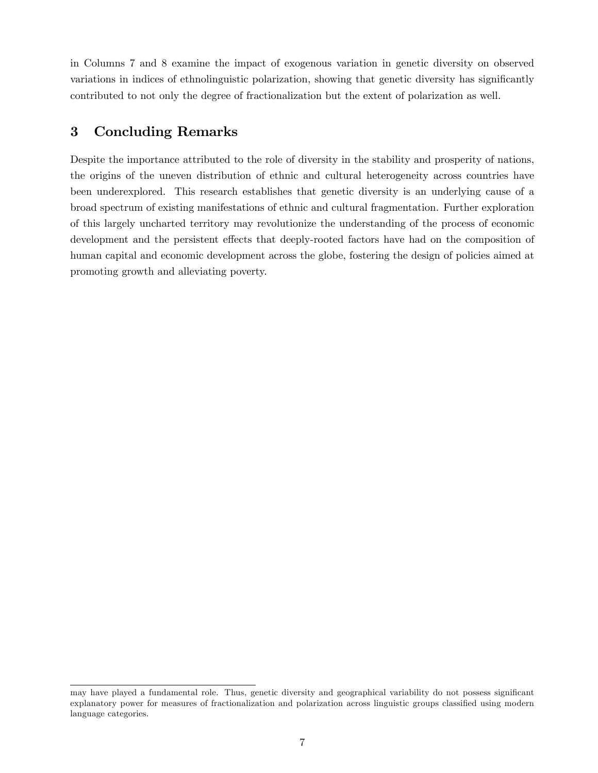in Columns 7 and 8 examine the impact of exogenous variation in genetic diversity on observed variations in indices of ethnolinguistic polarization, showing that genetic diversity has significantly contributed to not only the degree of fractionalization but the extent of polarization as well.

## 3 Concluding Remarks

Despite the importance attributed to the role of diversity in the stability and prosperity of nations, the origins of the uneven distribution of ethnic and cultural heterogeneity across countries have been underexplored. This research establishes that genetic diversity is an underlying cause of a broad spectrum of existing manifestations of ethnic and cultural fragmentation. Further exploration of this largely uncharted territory may revolutionize the understanding of the process of economic development and the persistent effects that deeply-rooted factors have had on the composition of human capital and economic development across the globe, fostering the design of policies aimed at promoting growth and alleviating poverty.

may have played a fundamental role. Thus, genetic diversity and geographical variability do not possess significant explanatory power for measures of fractionalization and polarization across linguistic groups classified using modern language categories.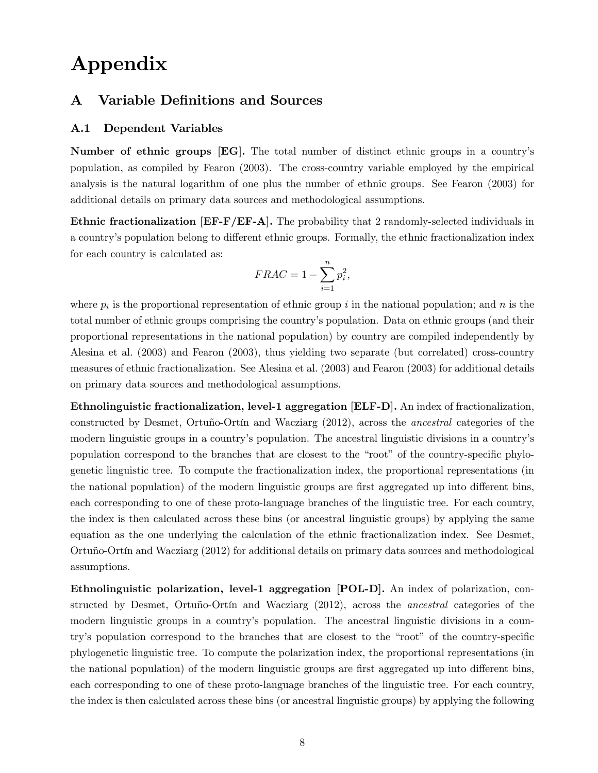# Appendix

### A Variable Definitions and Sources

### A.1 Dependent Variables

Number of ethnic groups [EG]. The total number of distinct ethnic groups in a countryís population, as compiled by Fearon (2003). The cross-country variable employed by the empirical analysis is the natural logarithm of one plus the number of ethnic groups. See Fearon (2003) for additional details on primary data sources and methodological assumptions.

Ethnic fractionalization [EF-F/EF-A]. The probability that 2 randomly-selected individuals in a country's population belong to different ethnic groups. Formally, the ethnic fractionalization index for each country is calculated as:

$$
FRAC = 1 - \sum_{i=1}^{n} p_i^2,
$$

where  $p_i$  is the proportional representation of ethnic group i in the national population; and n is the total number of ethnic groups comprising the countryís population. Data on ethnic groups (and their proportional representations in the national population) by country are compiled independently by Alesina et al. (2003) and Fearon (2003), thus yielding two separate (but correlated) cross-country measures of ethnic fractionalization. See Alesina et al. (2003) and Fearon (2003) for additional details on primary data sources and methodological assumptions.

Ethnolinguistic fractionalization, level-1 aggregation [ELF-D]. An index of fractionalization, constructed by Desmet, Ortuño-Ortín and Wacziarg (2012), across the *ancestral* categories of the modern linguistic groups in a countryís population. The ancestral linguistic divisions in a countryís population correspond to the branches that are closest to the "root" of the country-specific phylogenetic linguistic tree. To compute the fractionalization index, the proportional representations (in the national population) of the modern linguistic groups are first aggregated up into different bins, each corresponding to one of these proto-language branches of the linguistic tree. For each country, the index is then calculated across these bins (or ancestral linguistic groups) by applying the same equation as the one underlying the calculation of the ethnic fractionalization index. See Desmet, Ortuño-Ortín and Wacziarg  $(2012)$  for additional details on primary data sources and methodological assumptions.

Ethnolinguistic polarization, level-1 aggregation [POL-D]. An index of polarization, constructed by Desmet, Ortuño-Ortín and Wacziarg  $(2012)$ , across the *ancestral* categories of the modern linguistic groups in a country's population. The ancestral linguistic divisions in a country's population correspond to the branches that are closest to the "root" of the country-specific phylogenetic linguistic tree. To compute the polarization index, the proportional representations (in the national population) of the modern linguistic groups are first aggregated up into different bins, each corresponding to one of these proto-language branches of the linguistic tree. For each country, the index is then calculated across these bins (or ancestral linguistic groups) by applying the following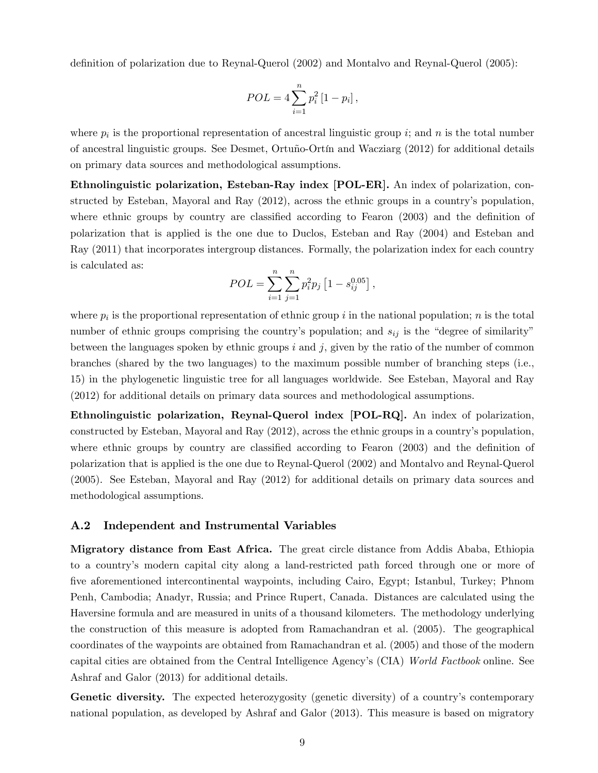definition of polarization due to Reynal-Querol (2002) and Montalvo and Reynal-Querol (2005):

$$
POL = 4 \sum_{i=1}^{n} p_i^2 [1 - p_i],
$$

where  $p_i$  is the proportional representation of ancestral linguistic group i; and n is the total number of ancestral linguistic groups. See Desmet, Ortuño-Ortín and Wacziarg (2012) for additional details on primary data sources and methodological assumptions.

Ethnolinguistic polarization, Esteban-Ray index [POL-ER]. An index of polarization, constructed by Esteban, Mayoral and Ray (2012), across the ethnic groups in a country's population, where ethnic groups by country are classified according to Fearon  $(2003)$  and the definition of polarization that is applied is the one due to Duclos, Esteban and Ray (2004) and Esteban and Ray (2011) that incorporates intergroup distances. Formally, the polarization index for each country is calculated as:

$$
POL = \sum_{i=1}^{n} \sum_{j=1}^{n} p_i^2 p_j \left[ 1 - s_{ij}^{0.05} \right],
$$

where  $p_i$  is the proportional representation of ethnic group i in the national population; n is the total number of ethnic groups comprising the country's population; and  $s_{ij}$  is the "degree of similarity" between the languages spoken by ethnic groups  $i$  and  $j$ , given by the ratio of the number of common branches (shared by the two languages) to the maximum possible number of branching steps (i.e., 15) in the phylogenetic linguistic tree for all languages worldwide. See Esteban, Mayoral and Ray (2012) for additional details on primary data sources and methodological assumptions.

Ethnolinguistic polarization, Reynal-Querol index [POL-RQ]. An index of polarization, constructed by Esteban, Mayoral and Ray (2012), across the ethnic groups in a countryís population, where ethnic groups by country are classified according to Fearon  $(2003)$  and the definition of polarization that is applied is the one due to Reynal-Querol (2002) and Montalvo and Reynal-Querol (2005). See Esteban, Mayoral and Ray (2012) for additional details on primary data sources and methodological assumptions.

#### A.2 Independent and Instrumental Variables

Migratory distance from East Africa. The great circle distance from Addis Ababa, Ethiopia to a countryís modern capital city along a land-restricted path forced through one or more of Öve aforementioned intercontinental waypoints, including Cairo, Egypt; Istanbul, Turkey; Phnom Penh, Cambodia; Anadyr, Russia; and Prince Rupert, Canada. Distances are calculated using the Haversine formula and are measured in units of a thousand kilometers. The methodology underlying the construction of this measure is adopted from Ramachandran et al. (2005). The geographical coordinates of the waypoints are obtained from Ramachandran et al. (2005) and those of the modern capital cities are obtained from the Central Intelligence Agencyís (CIA) [World Factbook](https://www.cia.gov/library/publications/the-world-factbook/) online. See Ashraf and Galor (2013) for additional details.

Genetic diversity. The expected heterozygosity (genetic diversity) of a country's contemporary national population, as developed by Ashraf and Galor (2013). This measure is based on migratory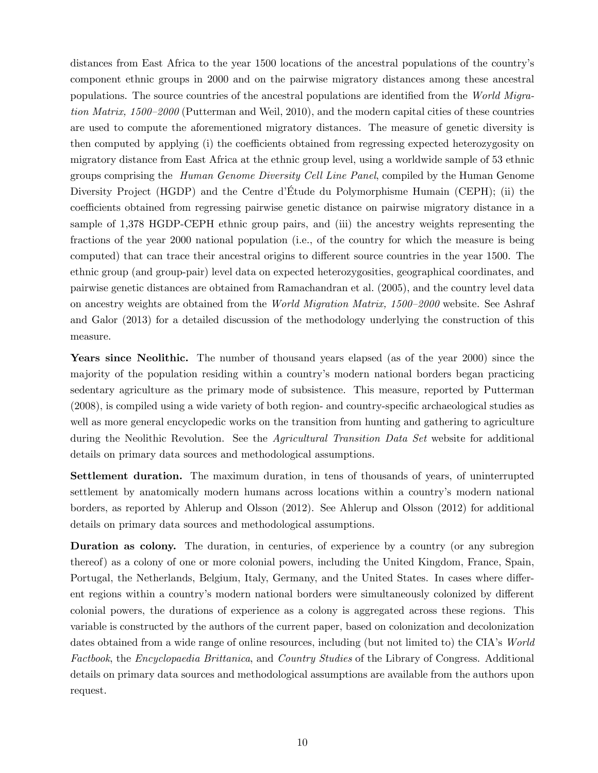distances from East Africa to the year 1500 locations of the ancestral populations of the countryís component ethnic groups in 2000 and on the pairwise migratory distances among these ancestral populations. The source countries of the ancestral populations are identified from the [World Migra](http://www.econ.brown.edu/fac/louis_putterman/world migration matrix.htm)tion Matrix,  $1500-2000$  (Putterman and Weil, 2010), and the modern capital cities of these countries are used to compute the aforementioned migratory distances. The measure of genetic diversity is then computed by applying (i) the coefficients obtained from regressing expected heterozygosity on migratory distance from East Africa at the ethnic group level, using a worldwide sample of 53 ethnic groups comprising the [Human Genome Diversity Cell Line Panel](http://www.cephb.fr/en/hgdp/diversity.php/), compiled by the Human Genome Diversity Project (HGDP) and the Centre d'Étude du Polymorphisme Humain (CEPH); (ii) the coefficients obtained from regressing pairwise genetic distance on pairwise migratory distance in a sample of 1,378 HGDP-CEPH ethnic group pairs, and (iii) the ancestry weights representing the fractions of the year 2000 national population (i.e., of the country for which the measure is being computed) that can trace their ancestral origins to different source countries in the year 1500. The ethnic group (and group-pair) level data on expected heterozygosities, geographical coordinates, and pairwise genetic distances are obtained from Ramachandran et al. (2005), and the country level data on ancestry weights are obtained from the *World Migration Matrix, 1500–2000* website. See Ashraf and Galor (2013) for a detailed discussion of the methodology underlying the construction of this measure.

Years since Neolithic. The number of thousand years elapsed (as of the year 2000) since the majority of the population residing within a countryís modern national borders began practicing sedentary agriculture as the primary mode of subsistence. This measure, reported by Putterman  $(2008)$ , is compiled using a wide variety of both region- and country-specific archaeological studies as well as more general encyclopedic works on the transition from hunting and gathering to agriculture during the Neolithic Revolution. See the *[Agricultural Transition Data Set](http://www.econ.brown.edu/fac/louis_putterman/agricultural data page.htm)* website for additional details on primary data sources and methodological assumptions.

Settlement duration. The maximum duration, in tens of thousands of years, of uninterrupted settlement by anatomically modern humans across locations within a country's modern national borders, as reported by Ahlerup and Olsson (2012). See Ahlerup and Olsson (2012) for additional details on primary data sources and methodological assumptions.

Duration as colony. The duration, in centuries, of experience by a country (or any subregion thereof) as a colony of one or more colonial powers, including the United Kingdom, France, Spain, Portugal, the Netherlands, Belgium, Italy, Germany, and the United States. In cases where different regions within a country's modern national borders were simultaneously colonized by different colonial powers, the durations of experience as a colony is aggregated across these regions. This variable is constructed by the authors of the current paper, based on colonization and decolonization dates obtained from a wide range of online resources, including (but not limited to) the CIA's [World](https://www.cia.gov/library/publications/the-world-factbook/) [Factbook](https://www.cia.gov/library/publications/the-world-factbook/), the [Encyclopaedia Brittanica](http://www.britannica.com/), and [Country Studies](http://lcweb2.loc.gov/frd/cs/) of the Library of Congress. Additional details on primary data sources and methodological assumptions are available from the authors upon request.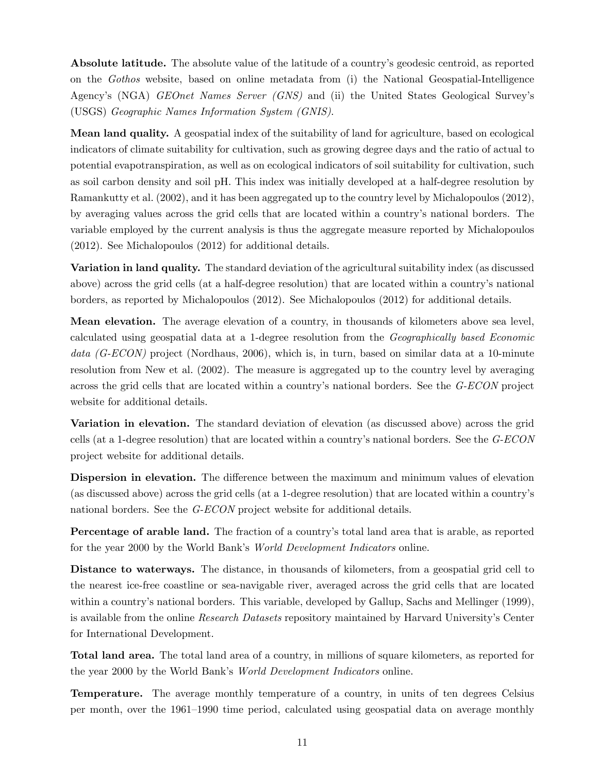Absolute latitude. The absolute value of the latitude of a country's geodesic centroid, as reported on the [Gothos](http://gothos.info/resources/) website, based on online metadata from (i) the National Geospatial-Intelligence Agency's (NGA) [GEOnet Names Server \(GNS\)](http://earth-info.nga.mil/gns/html/index.html) and (ii) the United States Geological Survey's (USGS) [Geographic Names Information System \(GNIS\)](http://geonames.usgs.gov/domestic/index.html/).

Mean land quality. A geospatial index of the suitability of land for agriculture, based on ecological indicators of climate suitability for cultivation, such as growing degree days and the ratio of actual to potential evapotranspiration, as well as on ecological indicators of soil suitability for cultivation, such as soil carbon density and soil pH. This index was initially developed at a half-degree resolution by Ramankutty et al. (2002), and it has been aggregated up to the country level by Michalopoulos (2012), by averaging values across the grid cells that are located within a country's national borders. The variable employed by the current analysis is thus the aggregate measure reported by Michalopoulos (2012). See Michalopoulos (2012) for additional details.

Variation in land quality. The standard deviation of the agricultural suitability index (as discussed above) across the grid cells (at a half-degree resolution) that are located within a country's national borders, as reported by Michalopoulos (2012). See Michalopoulos (2012) for additional details.

Mean elevation. The average elevation of a country, in thousands of kilometers above sea level, calculated using geospatial data at a 1-degree resolution from the [Geographically based Economic](http://gecon.yale.edu/) data  $(G-ECON)$  project (Nordhaus, 2006), which is, in turn, based on similar data at a 10-minute resolution from New et al. (2002). The measure is aggregated up to the country level by averaging across the grid cells that are located within a country's national borders. See the [G-ECON](http://gecon.yale.edu/) project website for additional details.

Variation in elevation. The standard deviation of elevation (as discussed above) across the grid cells (at a 1-degree resolution) that are located within a country's national borders. See the  $G$ - $ECON$ project website for additional details.

Dispersion in elevation. The difference between the maximum and minimum values of elevation (as discussed above) across the grid cells (at a 1-degree resolution) that are located within a countryís national borders. See the [G-ECON](http://gecon.yale.edu/) project website for additional details.

Percentage of arable land. The fraction of a country's total land area that is arable, as reported for the year 2000 by the World Bank's *[World Development Indicators](http://data.worldbank.org/data-catalog/world-development-indicators)* online.

Distance to waterways. The distance, in thousands of kilometers, from a geospatial grid cell to the nearest ice-free coastline or sea-navigable river, averaged across the grid cells that are located within a country's national borders. This variable, developed by Gallup, Sachs and Mellinger (1999), is available from the online *[Research Datasets](http://www.cid.harvard.edu/ciddata/geographydata.htm)* repository maintained by Harvard University's Center for International Development.

Total land area. The total land area of a country, in millions of square kilometers, as reported for the year 2000 by the World Bank's *[World Development Indicators](http://data.worldbank.org/data-catalog/world-development-indicators)* online.

Temperature. The average monthly temperature of a country, in units of ten degrees Celsius per month, over the 1961–1990 time period, calculated using geospatial data on average monthly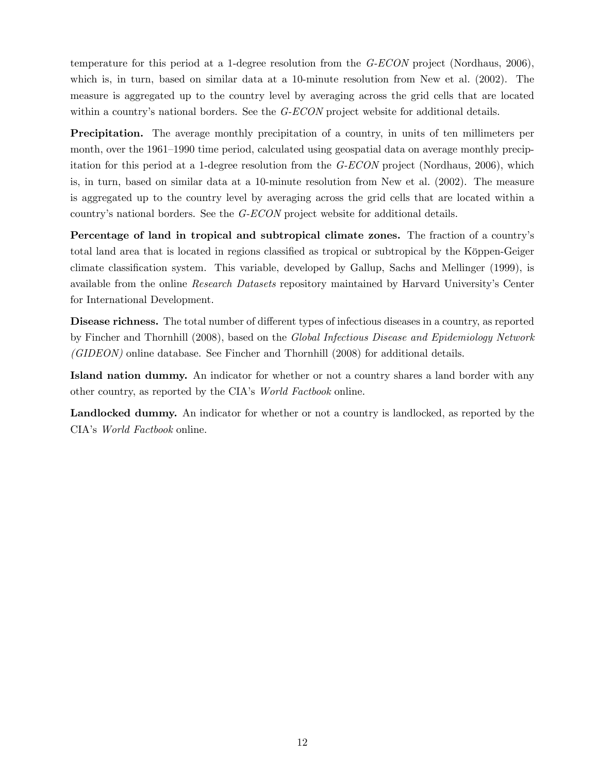temperature for this period at a 1-degree resolution from the [G-ECON](http://gecon.yale.edu/) project (Nordhaus, 2006), which is, in turn, based on similar data at a 10-minute resolution from New et al. (2002). The measure is aggregated up to the country level by averaging across the grid cells that are located within a country's national borders. See the  $G$ - $ECON$  project website for additional details.

Precipitation. The average monthly precipitation of a country, in units of ten millimeters per month, over the 1961–1990 time period, calculated using geospatial data on average monthly precipitation for this period at a 1-degree resolution from the  $G-ECON$  project (Nordhaus, 2006), which is, in turn, based on similar data at a 10-minute resolution from New et al. (2002). The measure is aggregated up to the country level by averaging across the grid cells that are located within a country's national borders. See the *[G-ECON](http://gecon.yale.edu/)* project website for additional details.

Percentage of land in tropical and subtropical climate zones. The fraction of a country's total land area that is located in regions classified as tropical or subtropical by the Köppen-Geiger climate classification system. This variable, developed by Gallup, Sachs and Mellinger (1999), is available from the online [Research Datasets](http://www.cid.harvard.edu/ciddata/geographydata.htm) repository maintained by Harvard University's Center for International Development.

Disease richness. The total number of different types of infectious diseases in a country, as reported by Fincher and Thornhill (2008), based on the [Global Infectious Disease and Epidemiology Network](http://www.gideononline.com/) [\(GIDEON\)](http://www.gideononline.com/) online database. See Fincher and Thornhill (2008) for additional details.

Island nation dummy. An indicator for whether or not a country shares a land border with any other country, as reported by the CIA's [World Factbook](https://www.cia.gov/library/publications/the-world-factbook/) online.

Landlocked dummy. An indicator for whether or not a country is landlocked, as reported by the CIA's [World Factbook](https://www.cia.gov/library/publications/the-world-factbook/) online.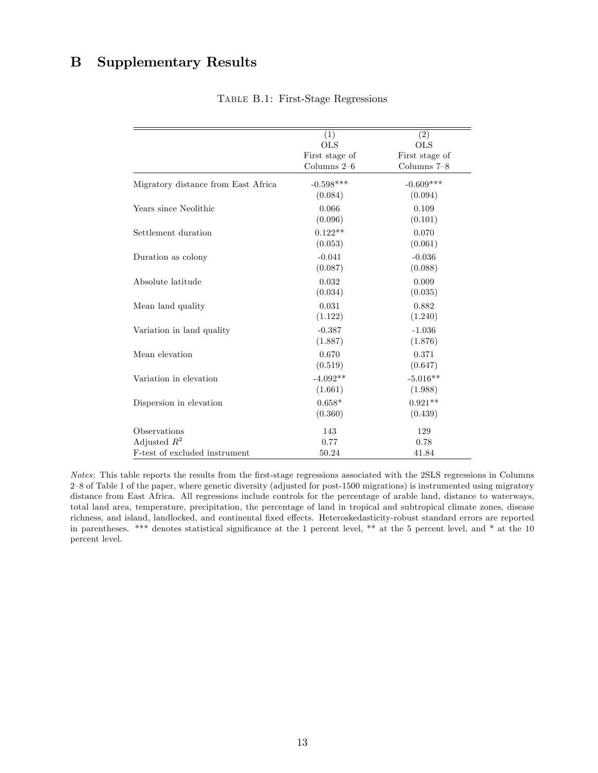# B Supplementary Results

|                                                                 | (1)                                           | $\overline{(2)}$                              |
|-----------------------------------------------------------------|-----------------------------------------------|-----------------------------------------------|
|                                                                 | <b>OLS</b><br>First stage of<br>Columns $2-6$ | <b>OLS</b><br>First stage of<br>Columns $7-8$ |
| Migratory distance from East Africa                             | $-0.598***$<br>(0.084)                        | $-0.609***$<br>(0.094)                        |
| Years since Neolithic                                           | 0.066<br>(0.096)                              | 0.109<br>(0.101)                              |
| Settlement duration                                             | $0.122**$<br>(0.053)                          | 0.070<br>(0.061)                              |
| Duration as colony                                              | $-0.041$<br>(0.087)                           | $-0.036$<br>(0.088)                           |
| Absolute latitude                                               | 0.032<br>(0.034)                              | 0.009<br>(0.035)                              |
| Mean land quality                                               | 0.031<br>(1.122)                              | 0.882<br>(1.240)                              |
| Variation in land quality                                       | $-0.387$<br>(1.887)                           | $-1.036$<br>(1.876)                           |
| Mean elevation                                                  | 0.670<br>(0.519)                              | 0.371<br>(0.647)                              |
| Variation in elevation                                          | $-4.092**$<br>(1.661)                         | $-5.016**$<br>(1.988)                         |
| Dispersion in elevation                                         | $0.658*$<br>(0.360)                           | $0.921**$<br>(0.439)                          |
| Observations<br>Adjusted $R^2$<br>F-test of excluded instrument | 143<br>0.77                                   | 129<br>0.78                                   |
|                                                                 | 50.24                                         | 41.84                                         |

Table B.1: First-Stage Regressions

Notes: This table reports the results from the Örst-stage regressions associated with the 2SLS regressions in Columns  $2-8$  of Table 1 of the paper, where genetic diversity (adjusted for post-1500 migrations) is instrumented using migratory distance from East Africa. All regressions include controls for the percentage of arable land, distance to waterways, total land area, temperature, precipitation, the percentage of land in tropical and subtropical climate zones, disease richness, and island, landlocked, and continental fixed effects. Heteroskedasticity-robust standard errors are reported in parentheses. \*\*\* denotes statistical significance at the 1 percent level, \*\* at the 5 percent level, and \* at the 10 percent level.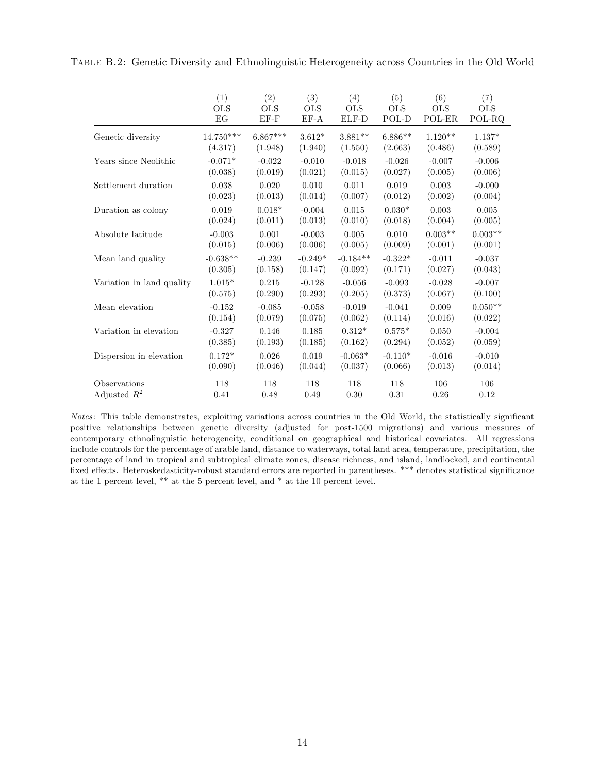|                           |                   |                                | $\overline{(3)}$ |                   |                   | $\overline{(6)}$ |                   |
|---------------------------|-------------------|--------------------------------|------------------|-------------------|-------------------|------------------|-------------------|
|                           | (1)<br><b>OLS</b> | $\overline{(2)}$<br><b>OLS</b> | <b>OLS</b>       | (4)<br><b>OLS</b> | (5)<br><b>OLS</b> | <b>OLS</b>       | (7)<br><b>OLS</b> |
|                           | EG                | $EF-F$                         | $EF-A$           | ELF-D             | POL-D             | POL-ER           | POL-RQ            |
|                           |                   |                                |                  |                   |                   |                  |                   |
| Genetic diversity         | $14.750***$       | $6.867***$                     | $3.612*$         | $3.881**$         | $6.886**$         | $1.120**$        | $1.137*$          |
|                           | (4.317)           | (1.948)                        | (1.940)          | (1.550)           | (2.663)           | (0.486)          | (0.589)           |
| Years since Neolithic     | $-0.071*$         | $-0.022$                       | $-0.010$         | $-0.018$          | $-0.026$          | $-0.007$         | $-0.006$          |
|                           | (0.038)           | (0.019)                        | (0.021)          | (0.015)           | (0.027)           | (0.005)          | (0.006)           |
| Settlement duration       | 0.038             | 0.020                          | 0.010            | 0.011             | 0.019             | 0.003            | $-0.000$          |
|                           | (0.023)           | (0.013)                        | (0.014)          | (0.007)           | (0.012)           | (0.002)          | (0.004)           |
| Duration as colony        | 0.019             | $0.018*$                       | $-0.004$         | 0.015             | $0.030*$          | 0.003            | 0.005             |
|                           | (0.024)           | (0.011)                        | (0.013)          | (0.010)           | (0.018)           | (0.004)          | (0.005)           |
| Absolute latitude         | $-0.003$          | 0.001                          | $-0.003$         | 0.005             | 0.010             | $0.003**$        | $0.003**$         |
|                           | (0.015)           | (0.006)                        | (0.006)          | (0.005)           | (0.009)           | (0.001)          | (0.001)           |
| Mean land quality         | $-0.638**$        | $-0.239$                       | $-0.249*$        | $-0.184**$        | $-0.322*$         | $-0.011$         | $-0.037$          |
|                           | (0.305)           | (0.158)                        | (0.147)          | (0.092)           | (0.171)           | (0.027)          | (0.043)           |
| Variation in land quality | $1.015*$          | 0.215                          | $-0.128$         | $-0.056$          | $-0.093$          | $-0.028$         | $-0.007$          |
|                           | (0.575)           | (0.290)                        | (0.293)          | (0.205)           | (0.373)           | (0.067)          | (0.100)           |
| Mean elevation            | $-0.152$          | $-0.085$                       | $-0.058$         | $-0.019$          | $-0.041$          | 0.009            | $0.050**$         |
|                           | (0.154)           | (0.079)                        | (0.075)          | (0.062)           | (0.114)           | (0.016)          | (0.022)           |
| Variation in elevation    | $-0.327$          | 0.146                          | 0.185            | $0.312*$          | $0.575*$          | 0.050            | $-0.004$          |
|                           | (0.385)           | (0.193)                        | (0.185)          | (0.162)           | (0.294)           | (0.052)          | (0.059)           |
| Dispersion in elevation   | $0.172*$          | 0.026                          | 0.019            | $-0.063*$         | $-0.110*$         | $-0.016$         | $-0.010$          |
|                           | (0.090)           | (0.046)                        | (0.044)          | (0.037)           | (0.066)           | (0.013)          | (0.014)           |
| Observations              | 118               | 118                            | 118              | 118               | 118               | 106              | 106               |
| Adjusted $R^2$            | 0.41              | 0.48                           | 0.49             | 0.30              | 0.31              | 0.26             | 0.12              |
|                           |                   |                                |                  |                   |                   |                  |                   |

Table B.2: Genetic Diversity and Ethnolinguistic Heterogeneity across Countries in the Old World

Notes: This table demonstrates, exploiting variations across countries in the Old World, the statistically significant positive relationships between genetic diversity (adjusted for post-1500 migrations) and various measures of contemporary ethnolinguistic heterogeneity, conditional on geographical and historical covariates. All regressions include controls for the percentage of arable land, distance to waterways, total land area, temperature, precipitation, the percentage of land in tropical and subtropical climate zones, disease richness, and island, landlocked, and continental fixed effects. Heteroskedasticity-robust standard errors are reported in parentheses. \*\*\* denotes statistical significance at the 1 percent level, \*\* at the 5 percent level, and \* at the 10 percent level.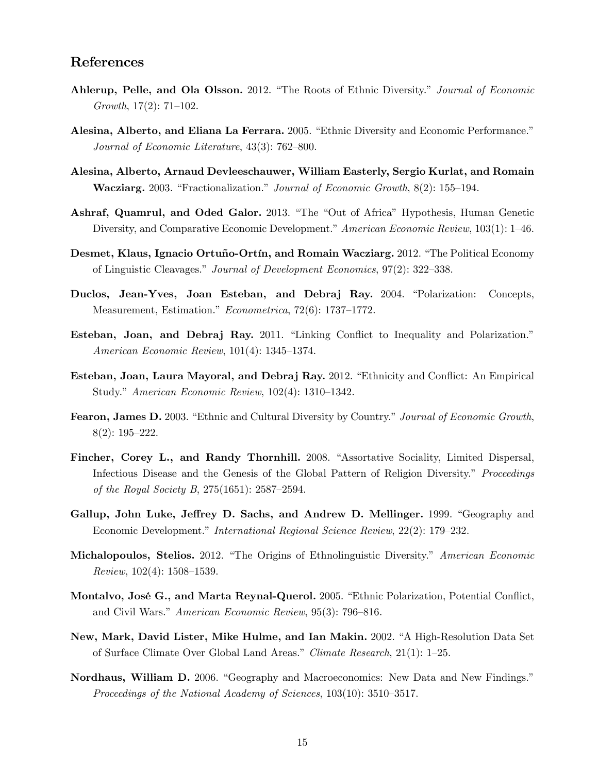## References

- Ahlerup, Pelle, and Ola Olsson. 2012. "The Roots of Ethnic Diversity." Journal of Economic Growth,  $17(2)$ :  $71–102$ .
- Alesina, Alberto, and Eliana La Ferrara. 2005. "Ethnic Diversity and Economic Performance." Journal of Economic Literature,  $43(3)$ : 762–800.
- Alesina, Alberto, Arnaud Devleeschauwer, William Easterly, Sergio Kurlat, and Romain Wacziarg. 2003. "Fractionalization." Journal of Economic Growth,  $8(2)$ : 155–194.
- Ashraf, Quamrul, and Oded Galor. 2013. "The "Out of Africa" Hypothesis, Human Genetic Diversity, and Comparative Economic Development." American Economic Review,  $103(1): 1-46$ .
- Desmet, Klaus, Ignacio Ortuño-Ortín, and Romain Wacziarg. 2012. "The Political Economy of Linguistic Cleavages." Journal of Development Economics, 97(2): 322–338.
- Duclos, Jean-Yves, Joan Esteban, and Debraj Ray. 2004. "Polarization: Concepts, Measurement, Estimation." Econometrica, 72(6): 1737-1772.
- Esteban, Joan, and Debraj Ray. 2011. "Linking Conflict to Inequality and Polarization." American Economic Review,  $101(4)$ : 1345–1374.
- Esteban, Joan, Laura Mayoral, and Debraj Ray. 2012. "Ethnicity and Conflict: An Empirical Study." American Economic Review,  $102(4)$ : 1310-1342.
- Fearon, James D. 2003. "Ethnic and Cultural Diversity by Country." Journal of Economic Growth,  $8(2): 195 - 222.$
- Fincher, Corey L., and Randy Thornhill. 2008. "Assortative Sociality, Limited Dispersal, Infectious Disease and the Genesis of the Global Pattern of Religion Diversity.<sup>n</sup> Proceedings of the Royal Society B,  $275(1651)$ :  $2587-2594$ .
- Gallup, John Luke, Jeffrey D. Sachs, and Andrew D. Mellinger. 1999. "Geography and Economic Development." International Regional Science Review, 22(2): 179–232.
- Michalopoulos, Stelios. 2012. "The Origins of Ethnolinguistic Diversity." American Economic  $Review, 102(4): 1508–1539.$
- Montalvo, José G., and Marta Reynal-Querol. 2005. "Ethnic Polarization, Potential Conflict, and Civil Wars." American Economic Review, 95(3): 796–816.
- New, Mark, David Lister, Mike Hulme, and Ian Makin. 2002. "A High-Resolution Data Set of Surface Climate Over Global Land Areas." Climate Research,  $21(1): 1-25$ .
- Nordhaus, William D. 2006. "Geography and Macroeconomics: New Data and New Findings." Proceedings of the National Academy of Sciences,  $103(10)$ :  $3510-3517$ .